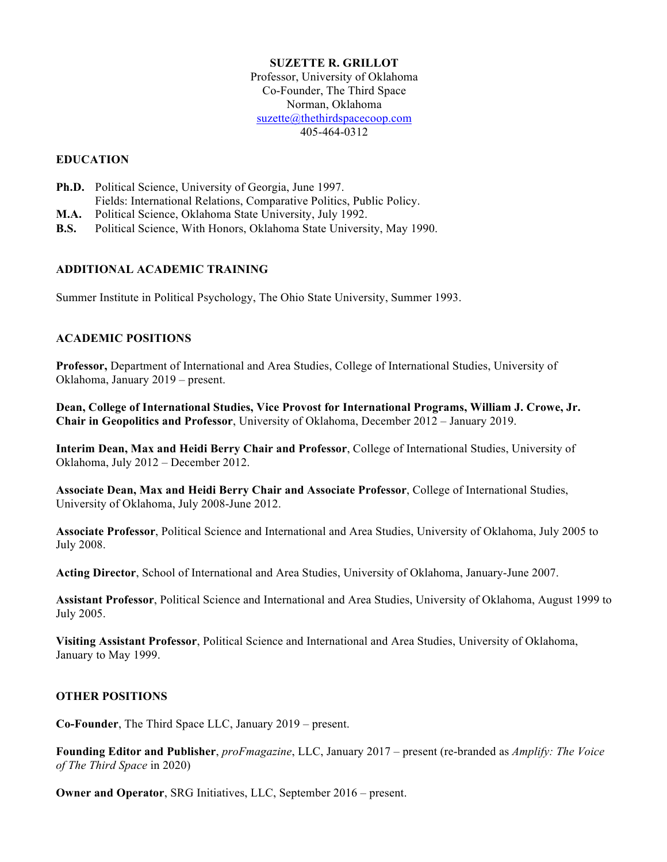#### **SUZETTE R. GRILLOT**

Professor, University of Oklahoma Co-Founder, The Third Space Norman, Oklahoma suzette@thethirdspacecoop.com 405-464-0312

#### **EDUCATION**

- **Ph.D.** Political Science, University of Georgia, June 1997. Fields: International Relations, Comparative Politics, Public Policy.
- **M.A.** Political Science, Oklahoma State University, July 1992.
- **B.S.** Political Science, With Honors, Oklahoma State University, May 1990.

# **ADDITIONAL ACADEMIC TRAINING**

Summer Institute in Political Psychology, The Ohio State University, Summer 1993.

# **ACADEMIC POSITIONS**

**Professor,** Department of International and Area Studies, College of International Studies, University of Oklahoma, January 2019 – present.

**Dean, College of International Studies, Vice Provost for International Programs, William J. Crowe, Jr. Chair in Geopolitics and Professor**, University of Oklahoma, December 2012 – January 2019.

**Interim Dean, Max and Heidi Berry Chair and Professor**, College of International Studies, University of Oklahoma, July 2012 – December 2012.

**Associate Dean, Max and Heidi Berry Chair and Associate Professor**, College of International Studies, University of Oklahoma, July 2008-June 2012.

**Associate Professor**, Political Science and International and Area Studies, University of Oklahoma, July 2005 to July 2008.

**Acting Director**, School of International and Area Studies, University of Oklahoma, January-June 2007.

**Assistant Professor**, Political Science and International and Area Studies, University of Oklahoma, August 1999 to July 2005.

**Visiting Assistant Professor**, Political Science and International and Area Studies, University of Oklahoma, January to May 1999.

#### **OTHER POSITIONS**

**Co-Founder**, The Third Space LLC, January 2019 – present.

**Founding Editor and Publisher**, *proFmagazine*, LLC, January 2017 – present (re-branded as *Amplify: The Voice of The Third Space* in 2020)

**Owner and Operator**, SRG Initiatives, LLC, September 2016 – present.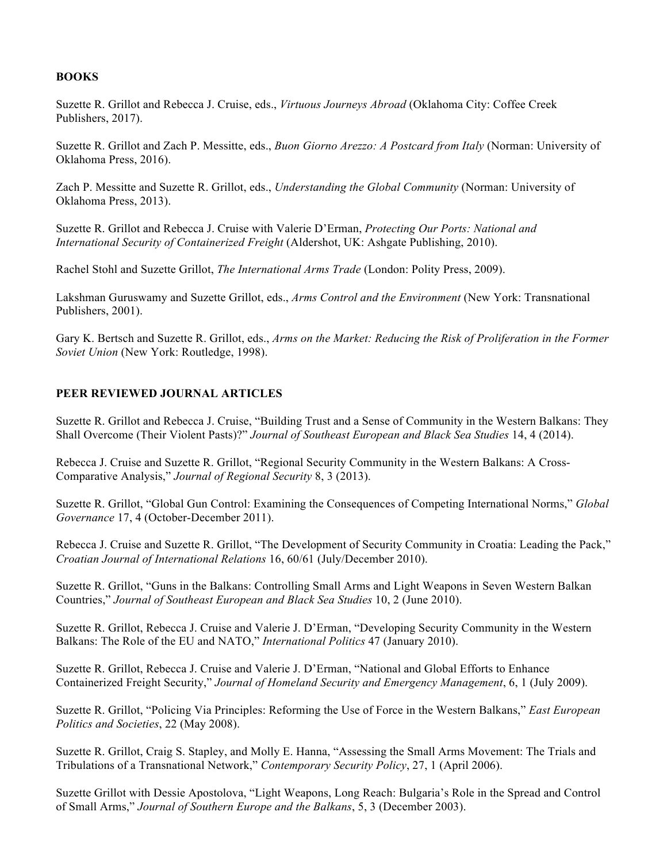# **BOOKS**

Suzette R. Grillot and Rebecca J. Cruise, eds., *Virtuous Journeys Abroad* (Oklahoma City: Coffee Creek Publishers, 2017).

Suzette R. Grillot and Zach P. Messitte, eds., *Buon Giorno Arezzo: A Postcard from Italy* (Norman: University of Oklahoma Press, 2016).

Zach P. Messitte and Suzette R. Grillot, eds., *Understanding the Global Community* (Norman: University of Oklahoma Press, 2013).

Suzette R. Grillot and Rebecca J. Cruise with Valerie D'Erman, *Protecting Our Ports: National and International Security of Containerized Freight* (Aldershot, UK: Ashgate Publishing, 2010).

Rachel Stohl and Suzette Grillot, *The International Arms Trade* (London: Polity Press, 2009).

Lakshman Guruswamy and Suzette Grillot, eds., *Arms Control and the Environment* (New York: Transnational Publishers, 2001).

Gary K. Bertsch and Suzette R. Grillot, eds., *Arms on the Market: Reducing the Risk of Proliferation in the Former Soviet Union* (New York: Routledge, 1998).

# **PEER REVIEWED JOURNAL ARTICLES**

Suzette R. Grillot and Rebecca J. Cruise, "Building Trust and a Sense of Community in the Western Balkans: They Shall Overcome (Their Violent Pasts)?" *Journal of Southeast European and Black Sea Studies* 14, 4 (2014).

Rebecca J. Cruise and Suzette R. Grillot, "Regional Security Community in the Western Balkans: A Cross-Comparative Analysis," *Journal of Regional Security* 8, 3 (2013).

Suzette R. Grillot, "Global Gun Control: Examining the Consequences of Competing International Norms," *Global Governance* 17, 4 (October-December 2011).

Rebecca J. Cruise and Suzette R. Grillot, "The Development of Security Community in Croatia: Leading the Pack," *Croatian Journal of International Relations* 16, 60/61 (July/December 2010).

Suzette R. Grillot, "Guns in the Balkans: Controlling Small Arms and Light Weapons in Seven Western Balkan Countries," *Journal of Southeast European and Black Sea Studies* 10, 2 (June 2010).

Suzette R. Grillot, Rebecca J. Cruise and Valerie J. D'Erman, "Developing Security Community in the Western Balkans: The Role of the EU and NATO," *International Politics* 47 (January 2010).

Suzette R. Grillot, Rebecca J. Cruise and Valerie J. D'Erman, "National and Global Efforts to Enhance Containerized Freight Security," *Journal of Homeland Security and Emergency Management*, 6, 1 (July 2009).

Suzette R. Grillot, "Policing Via Principles: Reforming the Use of Force in the Western Balkans," *East European Politics and Societies*, 22 (May 2008).

Suzette R. Grillot, Craig S. Stapley, and Molly E. Hanna, "Assessing the Small Arms Movement: The Trials and Tribulations of a Transnational Network," *Contemporary Security Policy*, 27, 1 (April 2006).

Suzette Grillot with Dessie Apostolova, "Light Weapons, Long Reach: Bulgaria's Role in the Spread and Control of Small Arms," *Journal of Southern Europe and the Balkans*, 5, 3 (December 2003).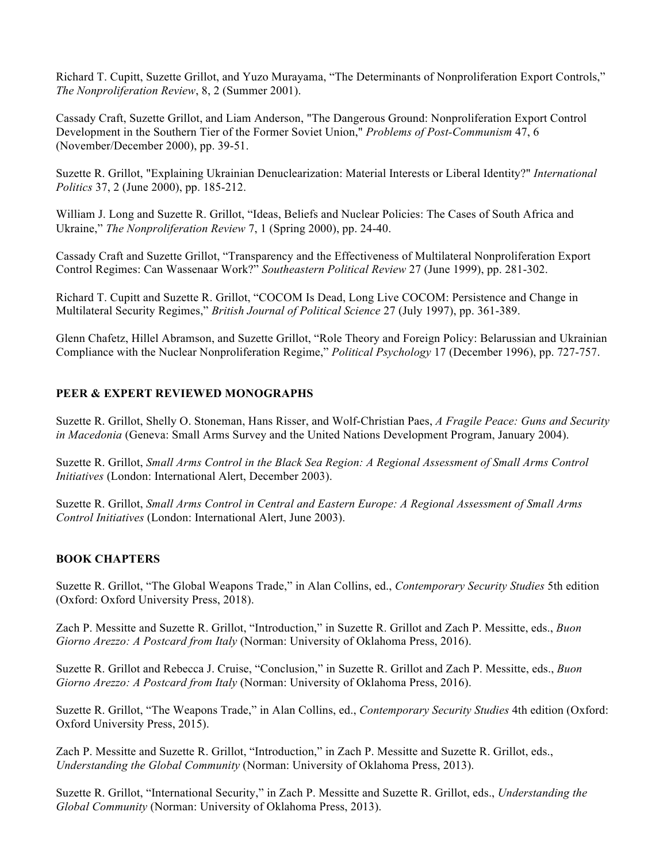Richard T. Cupitt, Suzette Grillot, and Yuzo Murayama, "The Determinants of Nonproliferation Export Controls," *The Nonproliferation Review*, 8, 2 (Summer 2001).

Cassady Craft, Suzette Grillot, and Liam Anderson, "The Dangerous Ground: Nonproliferation Export Control Development in the Southern Tier of the Former Soviet Union," *Problems of Post-Communism* 47, 6 (November/December 2000), pp. 39-51.

Suzette R. Grillot, "Explaining Ukrainian Denuclearization: Material Interests or Liberal Identity?" *International Politics* 37, 2 (June 2000), pp. 185-212.

William J. Long and Suzette R. Grillot, "Ideas, Beliefs and Nuclear Policies: The Cases of South Africa and Ukraine," *The Nonproliferation Review* 7, 1 (Spring 2000), pp. 24-40.

Cassady Craft and Suzette Grillot, "Transparency and the Effectiveness of Multilateral Nonproliferation Export Control Regimes: Can Wassenaar Work?" *Southeastern Political Review* 27 (June 1999), pp. 281-302.

Richard T. Cupitt and Suzette R. Grillot, "COCOM Is Dead, Long Live COCOM: Persistence and Change in Multilateral Security Regimes," *British Journal of Political Science* 27 (July 1997), pp. 361-389.

Glenn Chafetz, Hillel Abramson, and Suzette Grillot, "Role Theory and Foreign Policy: Belarussian and Ukrainian Compliance with the Nuclear Nonproliferation Regime," *Political Psychology* 17 (December 1996), pp. 727-757.

# **PEER & EXPERT REVIEWED MONOGRAPHS**

Suzette R. Grillot, Shelly O. Stoneman, Hans Risser, and Wolf-Christian Paes, *A Fragile Peace: Guns and Security in Macedonia* (Geneva: Small Arms Survey and the United Nations Development Program, January 2004).

Suzette R. Grillot, *Small Arms Control in the Black Sea Region: A Regional Assessment of Small Arms Control Initiatives* (London: International Alert, December 2003).

Suzette R. Grillot, *Small Arms Control in Central and Eastern Europe: A Regional Assessment of Small Arms Control Initiatives* (London: International Alert, June 2003).

# **BOOK CHAPTERS**

Suzette R. Grillot, "The Global Weapons Trade," in Alan Collins, ed., *Contemporary Security Studies* 5th edition (Oxford: Oxford University Press, 2018).

Zach P. Messitte and Suzette R. Grillot, "Introduction," in Suzette R. Grillot and Zach P. Messitte, eds., *Buon Giorno Arezzo: A Postcard from Italy* (Norman: University of Oklahoma Press, 2016).

Suzette R. Grillot and Rebecca J. Cruise, "Conclusion," in Suzette R. Grillot and Zach P. Messitte, eds., *Buon Giorno Arezzo: A Postcard from Italy* (Norman: University of Oklahoma Press, 2016).

Suzette R. Grillot, "The Weapons Trade," in Alan Collins, ed., *Contemporary Security Studies* 4th edition (Oxford: Oxford University Press, 2015).

Zach P. Messitte and Suzette R. Grillot, "Introduction," in Zach P. Messitte and Suzette R. Grillot, eds., *Understanding the Global Community* (Norman: University of Oklahoma Press, 2013).

Suzette R. Grillot, "International Security," in Zach P. Messitte and Suzette R. Grillot, eds., *Understanding the Global Community* (Norman: University of Oklahoma Press, 2013).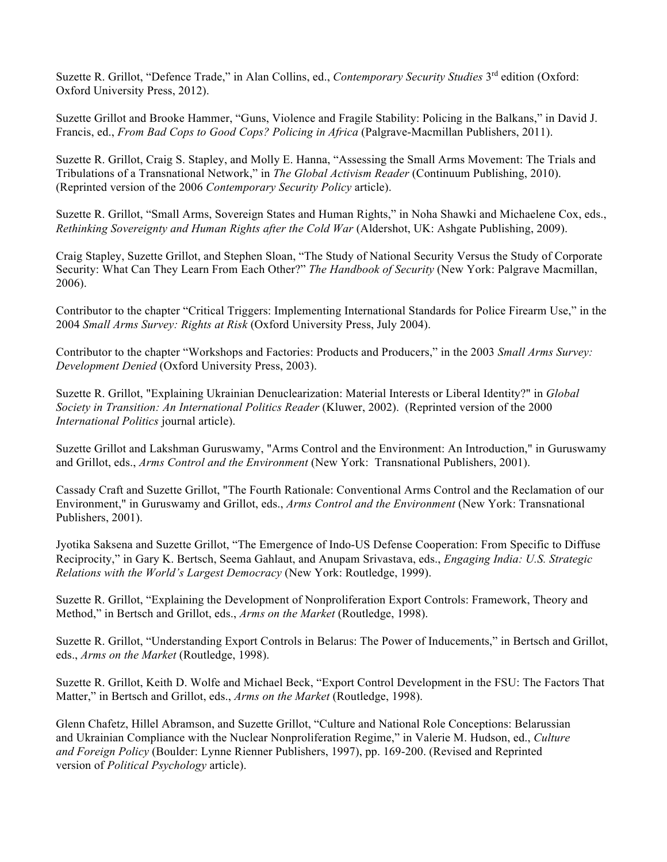Suzette R. Grillot, "Defence Trade," in Alan Collins, ed., *Contemporary Security Studies* 3<sup>rd</sup> edition (Oxford: Oxford University Press, 2012).

Suzette Grillot and Brooke Hammer, "Guns, Violence and Fragile Stability: Policing in the Balkans," in David J. Francis, ed., *From Bad Cops to Good Cops? Policing in Africa* (Palgrave-Macmillan Publishers, 2011).

Suzette R. Grillot, Craig S. Stapley, and Molly E. Hanna, "Assessing the Small Arms Movement: The Trials and Tribulations of a Transnational Network," in *The Global Activism Reader* (Continuum Publishing, 2010). (Reprinted version of the 2006 *Contemporary Security Policy* article).

Suzette R. Grillot, "Small Arms, Sovereign States and Human Rights," in Noha Shawki and Michaelene Cox, eds., *Rethinking Sovereignty and Human Rights after the Cold War* (Aldershot, UK: Ashgate Publishing, 2009).

Craig Stapley, Suzette Grillot, and Stephen Sloan, "The Study of National Security Versus the Study of Corporate Security: What Can They Learn From Each Other?" *The Handbook of Security* (New York: Palgrave Macmillan, 2006).

Contributor to the chapter "Critical Triggers: Implementing International Standards for Police Firearm Use," in the 2004 *Small Arms Survey: Rights at Risk* (Oxford University Press, July 2004).

Contributor to the chapter "Workshops and Factories: Products and Producers," in the 2003 *Small Arms Survey*: *Development Denied* (Oxford University Press, 2003).

Suzette R. Grillot, "Explaining Ukrainian Denuclearization: Material Interests or Liberal Identity?" in *Global Society in Transition: An International Politics Reader* (Kluwer, 2002). (Reprinted version of the 2000 *International Politics* journal article).

Suzette Grillot and Lakshman Guruswamy, "Arms Control and the Environment: An Introduction," in Guruswamy and Grillot, eds., *Arms Control and the Environment* (New York: Transnational Publishers, 2001).

Cassady Craft and Suzette Grillot, "The Fourth Rationale: Conventional Arms Control and the Reclamation of our Environment," in Guruswamy and Grillot, eds., *Arms Control and the Environment* (New York: Transnational Publishers, 2001).

Jyotika Saksena and Suzette Grillot, "The Emergence of Indo-US Defense Cooperation: From Specific to Diffuse Reciprocity," in Gary K. Bertsch, Seema Gahlaut, and Anupam Srivastava, eds., *Engaging India: U.S. Strategic Relations with the World's Largest Democracy* (New York: Routledge, 1999).

Suzette R. Grillot, "Explaining the Development of Nonproliferation Export Controls: Framework, Theory and Method," in Bertsch and Grillot, eds., *Arms on the Market* (Routledge, 1998).

Suzette R. Grillot, "Understanding Export Controls in Belarus: The Power of Inducements," in Bertsch and Grillot, eds., *Arms on the Market* (Routledge, 1998).

Suzette R. Grillot, Keith D. Wolfe and Michael Beck, "Export Control Development in the FSU: The Factors That Matter," in Bertsch and Grillot, eds., *Arms on the Market* (Routledge, 1998).

Glenn Chafetz, Hillel Abramson, and Suzette Grillot, "Culture and National Role Conceptions: Belarussian and Ukrainian Compliance with the Nuclear Nonproliferation Regime," in Valerie M. Hudson, ed., *Culture and Foreign Policy* (Boulder: Lynne Rienner Publishers, 1997), pp. 169-200. (Revised and Reprinted version of *Political Psychology* article).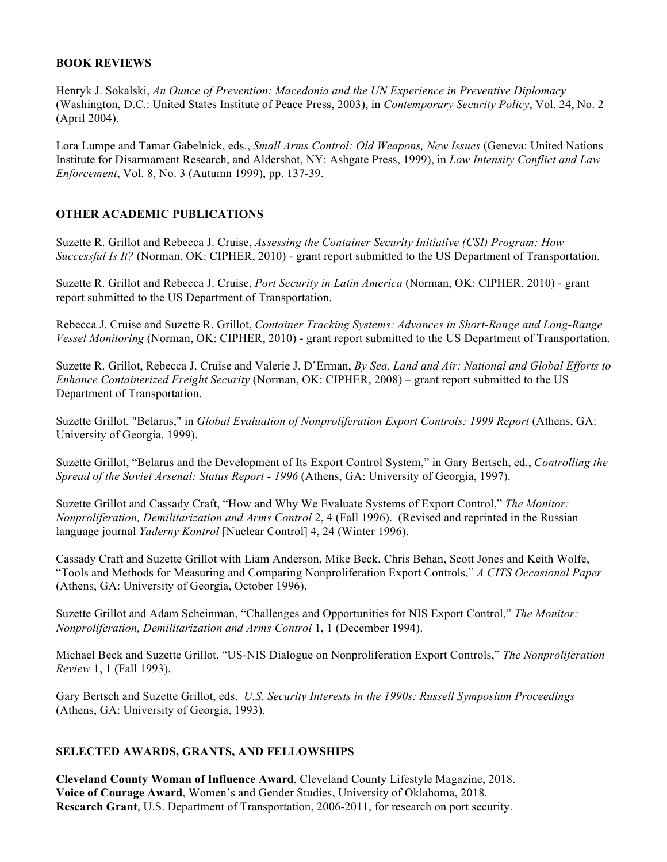# **BOOK REVIEWS**

Henryk J. Sokalski, *An Ounce of Prevention: Macedonia and the UN Experience in Preventive Diplomacy* (Washington, D.C.: United States Institute of Peace Press, 2003), in *Contemporary Security Policy*, Vol. 24, No. 2 (April 2004).

Lora Lumpe and Tamar Gabelnick, eds., *Small Arms Control: Old Weapons, New Issues* (Geneva: United Nations Institute for Disarmament Research, and Aldershot, NY: Ashgate Press, 1999), in *Low Intensity Conflict and Law Enforcement*, Vol. 8, No. 3 (Autumn 1999), pp. 137-39.

# **OTHER ACADEMIC PUBLICATIONS**

Suzette R. Grillot and Rebecca J. Cruise, *Assessing the Container Security Initiative (CSI) Program: How Successful Is It?* (Norman, OK: CIPHER, 2010) - grant report submitted to the US Department of Transportation.

Suzette R. Grillot and Rebecca J. Cruise, *Port Security in Latin America* (Norman, OK: CIPHER, 2010) - grant report submitted to the US Department of Transportation.

Rebecca J. Cruise and Suzette R. Grillot, *Container Tracking Systems: Advances in Short-Range and Long-Range Vessel Monitoring* (Norman, OK: CIPHER, 2010) - grant report submitted to the US Department of Transportation.

Suzette R. Grillot, Rebecca J. Cruise and Valerie J. D'Erman, *By Sea, Land and Air: National and Global Efforts to Enhance Containerized Freight Security* (Norman, OK: CIPHER, 2008) – grant report submitted to the US Department of Transportation.

Suzette Grillot, "Belarus," in *Global Evaluation of Nonproliferation Export Controls: 1999 Report* (Athens, GA: University of Georgia, 1999).

Suzette Grillot, "Belarus and the Development of Its Export Control System," in Gary Bertsch, ed., *Controlling the Spread of the Soviet Arsenal: Status Report - 1996* (Athens, GA: University of Georgia, 1997).

Suzette Grillot and Cassady Craft, "How and Why We Evaluate Systems of Export Control," *The Monitor: Nonproliferation, Demilitarization and Arms Control* 2, 4 (Fall 1996). (Revised and reprinted in the Russian language journal *Yaderny Kontrol* [Nuclear Control] 4, 24 (Winter 1996).

Cassady Craft and Suzette Grillot with Liam Anderson, Mike Beck, Chris Behan, Scott Jones and Keith Wolfe, "Tools and Methods for Measuring and Comparing Nonproliferation Export Controls," *A CITS Occasional Paper* (Athens, GA: University of Georgia, October 1996).

Suzette Grillot and Adam Scheinman, "Challenges and Opportunities for NIS Export Control," *The Monitor: Nonproliferation, Demilitarization and Arms Control* 1, 1 (December 1994).

Michael Beck and Suzette Grillot, "US-NIS Dialogue on Nonproliferation Export Controls," *The Nonproliferation Review* 1, 1 (Fall 1993).

Gary Bertsch and Suzette Grillot, eds. *U.S. Security Interests in the 1990s: Russell Symposium Proceedings* (Athens, GA: University of Georgia, 1993).

# **SELECTED AWARDS, GRANTS, AND FELLOWSHIPS**

**Cleveland County Woman of Influence Award**, Cleveland County Lifestyle Magazine, 2018. **Voice of Courage Award**, Women's and Gender Studies, University of Oklahoma, 2018. **Research Grant**, U.S. Department of Transportation, 2006-2011, for research on port security.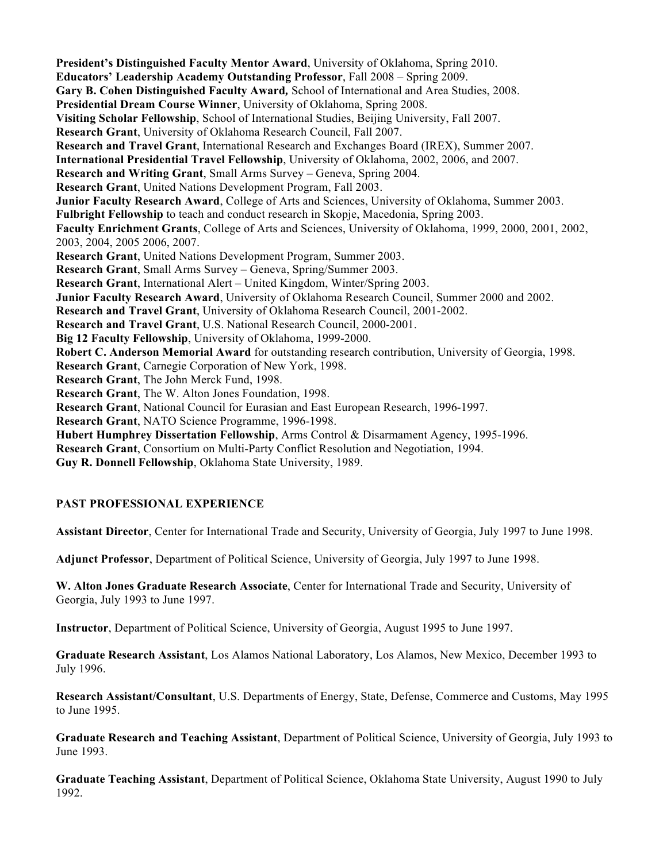**President's Distinguished Faculty Mentor Award**, University of Oklahoma, Spring 2010. **Educators' Leadership Academy Outstanding Professor**, Fall 2008 – Spring 2009. **Gary B. Cohen Distinguished Faculty Award***,* School of International and Area Studies, 2008. **Presidential Dream Course Winner**, University of Oklahoma, Spring 2008. **Visiting Scholar Fellowship**, School of International Studies, Beijing University, Fall 2007. **Research Grant**, University of Oklahoma Research Council, Fall 2007. **Research and Travel Grant**, International Research and Exchanges Board (IREX), Summer 2007. **International Presidential Travel Fellowship**, University of Oklahoma, 2002, 2006, and 2007. **Research and Writing Grant**, Small Arms Survey – Geneva, Spring 2004. **Research Grant**, United Nations Development Program, Fall 2003. **Junior Faculty Research Award**, College of Arts and Sciences, University of Oklahoma, Summer 2003. **Fulbright Fellowship** to teach and conduct research in Skopje, Macedonia, Spring 2003. **Faculty Enrichment Grants**, College of Arts and Sciences, University of Oklahoma, 1999, 2000, 2001, 2002, 2003, 2004, 2005 2006, 2007. **Research Grant**, United Nations Development Program, Summer 2003. **Research Grant**, Small Arms Survey – Geneva, Spring/Summer 2003. **Research Grant**, International Alert – United Kingdom, Winter/Spring 2003. **Junior Faculty Research Award**, University of Oklahoma Research Council, Summer 2000 and 2002. **Research and Travel Grant**, University of Oklahoma Research Council, 2001-2002. **Research and Travel Grant**, U.S. National Research Council, 2000-2001. **Big 12 Faculty Fellowship**, University of Oklahoma, 1999-2000. **Robert C. Anderson Memorial Award** for outstanding research contribution, University of Georgia, 1998. **Research Grant**, Carnegie Corporation of New York, 1998. **Research Grant**, The John Merck Fund, 1998. **Research Grant**, The W. Alton Jones Foundation, 1998. **Research Grant**, National Council for Eurasian and East European Research, 1996-1997. **Research Grant**, NATO Science Programme, 1996-1998. **Hubert Humphrey Dissertation Fellowship**, Arms Control & Disarmament Agency, 1995-1996. **Research Grant**, Consortium on Multi-Party Conflict Resolution and Negotiation, 1994.

**Guy R. Donnell Fellowship**, Oklahoma State University, 1989.

# **PAST PROFESSIONAL EXPERIENCE**

**Assistant Director**, Center for International Trade and Security, University of Georgia, July 1997 to June 1998.

**Adjunct Professor**, Department of Political Science, University of Georgia, July 1997 to June 1998.

**W. Alton Jones Graduate Research Associate**, Center for International Trade and Security, University of Georgia, July 1993 to June 1997.

**Instructor**, Department of Political Science, University of Georgia, August 1995 to June 1997.

**Graduate Research Assistant**, Los Alamos National Laboratory, Los Alamos, New Mexico, December 1993 to July 1996.

**Research Assistant/Consultant**, U.S. Departments of Energy, State, Defense, Commerce and Customs, May 1995 to June 1995.

**Graduate Research and Teaching Assistant**, Department of Political Science, University of Georgia, July 1993 to June 1993.

**Graduate Teaching Assistant**, Department of Political Science, Oklahoma State University, August 1990 to July 1992.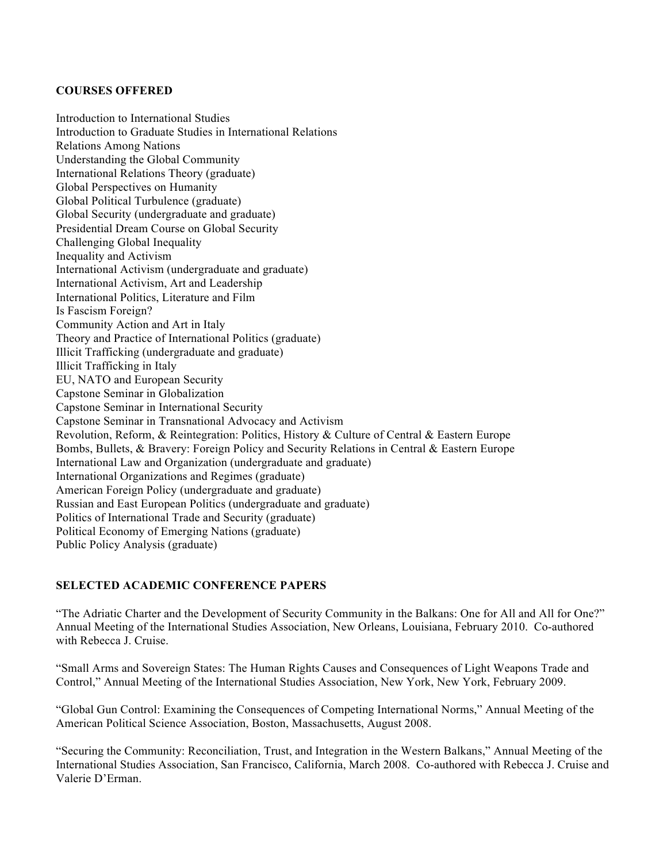# **COURSES OFFERED**

Introduction to International Studies Introduction to Graduate Studies in International Relations Relations Among Nations Understanding the Global Community International Relations Theory (graduate) Global Perspectives on Humanity Global Political Turbulence (graduate) Global Security (undergraduate and graduate) Presidential Dream Course on Global Security Challenging Global Inequality Inequality and Activism International Activism (undergraduate and graduate) International Activism, Art and Leadership International Politics, Literature and Film Is Fascism Foreign? Community Action and Art in Italy Theory and Practice of International Politics (graduate) Illicit Trafficking (undergraduate and graduate) Illicit Trafficking in Italy EU, NATO and European Security Capstone Seminar in Globalization Capstone Seminar in International Security Capstone Seminar in Transnational Advocacy and Activism Revolution, Reform, & Reintegration: Politics, History & Culture of Central & Eastern Europe Bombs, Bullets, & Bravery: Foreign Policy and Security Relations in Central & Eastern Europe International Law and Organization (undergraduate and graduate) International Organizations and Regimes (graduate) American Foreign Policy (undergraduate and graduate) Russian and East European Politics (undergraduate and graduate) Politics of International Trade and Security (graduate) Political Economy of Emerging Nations (graduate) Public Policy Analysis (graduate)

# **SELECTED ACADEMIC CONFERENCE PAPERS**

"The Adriatic Charter and the Development of Security Community in the Balkans: One for All and All for One?" Annual Meeting of the International Studies Association, New Orleans, Louisiana, February 2010. Co-authored with Rebecca J. Cruise.

"Small Arms and Sovereign States: The Human Rights Causes and Consequences of Light Weapons Trade and Control," Annual Meeting of the International Studies Association, New York, New York, February 2009.

"Global Gun Control: Examining the Consequences of Competing International Norms," Annual Meeting of the American Political Science Association, Boston, Massachusetts, August 2008.

"Securing the Community: Reconciliation, Trust, and Integration in the Western Balkans," Annual Meeting of the International Studies Association, San Francisco, California, March 2008. Co-authored with Rebecca J. Cruise and Valerie D'Erman.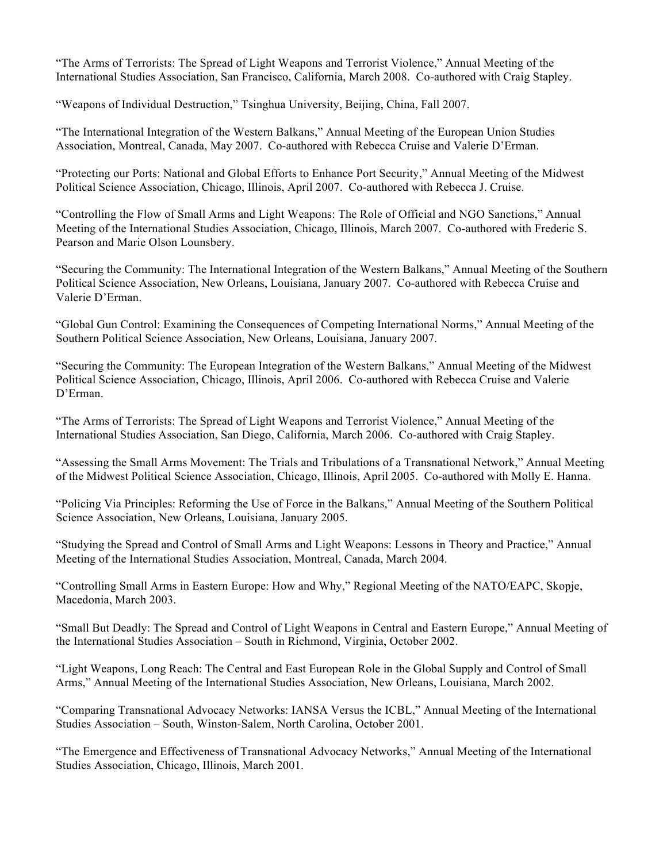"The Arms of Terrorists: The Spread of Light Weapons and Terrorist Violence," Annual Meeting of the International Studies Association, San Francisco, California, March 2008. Co-authored with Craig Stapley.

"Weapons of Individual Destruction," Tsinghua University, Beijing, China, Fall 2007.

"The International Integration of the Western Balkans," Annual Meeting of the European Union Studies Association, Montreal, Canada, May 2007. Co-authored with Rebecca Cruise and Valerie D'Erman.

"Protecting our Ports: National and Global Efforts to Enhance Port Security," Annual Meeting of the Midwest Political Science Association, Chicago, Illinois, April 2007. Co-authored with Rebecca J. Cruise.

"Controlling the Flow of Small Arms and Light Weapons: The Role of Official and NGO Sanctions," Annual Meeting of the International Studies Association, Chicago, Illinois, March 2007. Co-authored with Frederic S. Pearson and Marie Olson Lounsbery.

"Securing the Community: The International Integration of the Western Balkans," Annual Meeting of the Southern Political Science Association, New Orleans, Louisiana, January 2007. Co-authored with Rebecca Cruise and Valerie D'Erman.

"Global Gun Control: Examining the Consequences of Competing International Norms," Annual Meeting of the Southern Political Science Association, New Orleans, Louisiana, January 2007.

"Securing the Community: The European Integration of the Western Balkans," Annual Meeting of the Midwest Political Science Association, Chicago, Illinois, April 2006. Co-authored with Rebecca Cruise and Valerie D'Erman.

"The Arms of Terrorists: The Spread of Light Weapons and Terrorist Violence," Annual Meeting of the International Studies Association, San Diego, California, March 2006. Co-authored with Craig Stapley.

"Assessing the Small Arms Movement: The Trials and Tribulations of a Transnational Network," Annual Meeting of the Midwest Political Science Association, Chicago, Illinois, April 2005. Co-authored with Molly E. Hanna.

"Policing Via Principles: Reforming the Use of Force in the Balkans," Annual Meeting of the Southern Political Science Association, New Orleans, Louisiana, January 2005.

"Studying the Spread and Control of Small Arms and Light Weapons: Lessons in Theory and Practice," Annual Meeting of the International Studies Association, Montreal, Canada, March 2004.

"Controlling Small Arms in Eastern Europe: How and Why," Regional Meeting of the NATO/EAPC, Skopje, Macedonia, March 2003.

"Small But Deadly: The Spread and Control of Light Weapons in Central and Eastern Europe," Annual Meeting of the International Studies Association – South in Richmond, Virginia, October 2002.

"Light Weapons, Long Reach: The Central and East European Role in the Global Supply and Control of Small Arms," Annual Meeting of the International Studies Association, New Orleans, Louisiana, March 2002.

"Comparing Transnational Advocacy Networks: IANSA Versus the ICBL," Annual Meeting of the International Studies Association – South, Winston-Salem, North Carolina, October 2001.

"The Emergence and Effectiveness of Transnational Advocacy Networks," Annual Meeting of the International Studies Association, Chicago, Illinois, March 2001.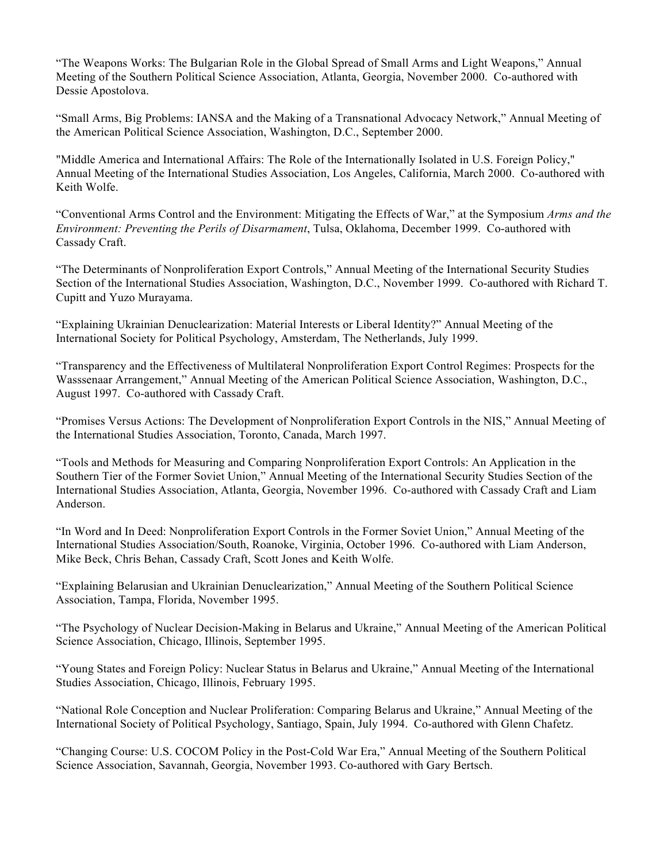"The Weapons Works: The Bulgarian Role in the Global Spread of Small Arms and Light Weapons," Annual Meeting of the Southern Political Science Association, Atlanta, Georgia, November 2000. Co-authored with Dessie Apostolova.

"Small Arms, Big Problems: IANSA and the Making of a Transnational Advocacy Network," Annual Meeting of the American Political Science Association, Washington, D.C., September 2000.

"Middle America and International Affairs: The Role of the Internationally Isolated in U.S. Foreign Policy," Annual Meeting of the International Studies Association, Los Angeles, California, March 2000. Co-authored with Keith Wolfe.

"Conventional Arms Control and the Environment: Mitigating the Effects of War," at the Symposium *Arms and the Environment: Preventing the Perils of Disarmament*, Tulsa, Oklahoma, December 1999. Co-authored with Cassady Craft.

"The Determinants of Nonproliferation Export Controls," Annual Meeting of the International Security Studies Section of the International Studies Association, Washington, D.C., November 1999. Co-authored with Richard T. Cupitt and Yuzo Murayama.

"Explaining Ukrainian Denuclearization: Material Interests or Liberal Identity?" Annual Meeting of the International Society for Political Psychology, Amsterdam, The Netherlands, July 1999.

"Transparency and the Effectiveness of Multilateral Nonproliferation Export Control Regimes: Prospects for the Wasssenaar Arrangement," Annual Meeting of the American Political Science Association, Washington, D.C., August 1997. Co-authored with Cassady Craft.

"Promises Versus Actions: The Development of Nonproliferation Export Controls in the NIS," Annual Meeting of the International Studies Association, Toronto, Canada, March 1997.

"Tools and Methods for Measuring and Comparing Nonproliferation Export Controls: An Application in the Southern Tier of the Former Soviet Union," Annual Meeting of the International Security Studies Section of the International Studies Association, Atlanta, Georgia, November 1996. Co-authored with Cassady Craft and Liam Anderson.

"In Word and In Deed: Nonproliferation Export Controls in the Former Soviet Union," Annual Meeting of the International Studies Association/South, Roanoke, Virginia, October 1996. Co-authored with Liam Anderson, Mike Beck, Chris Behan, Cassady Craft, Scott Jones and Keith Wolfe.

"Explaining Belarusian and Ukrainian Denuclearization," Annual Meeting of the Southern Political Science Association, Tampa, Florida, November 1995.

"The Psychology of Nuclear Decision-Making in Belarus and Ukraine," Annual Meeting of the American Political Science Association, Chicago, Illinois, September 1995.

"Young States and Foreign Policy: Nuclear Status in Belarus and Ukraine," Annual Meeting of the International Studies Association, Chicago, Illinois, February 1995.

"National Role Conception and Nuclear Proliferation: Comparing Belarus and Ukraine," Annual Meeting of the International Society of Political Psychology, Santiago, Spain, July 1994. Co-authored with Glenn Chafetz.

"Changing Course: U.S. COCOM Policy in the Post-Cold War Era," Annual Meeting of the Southern Political Science Association, Savannah, Georgia, November 1993. Co-authored with Gary Bertsch.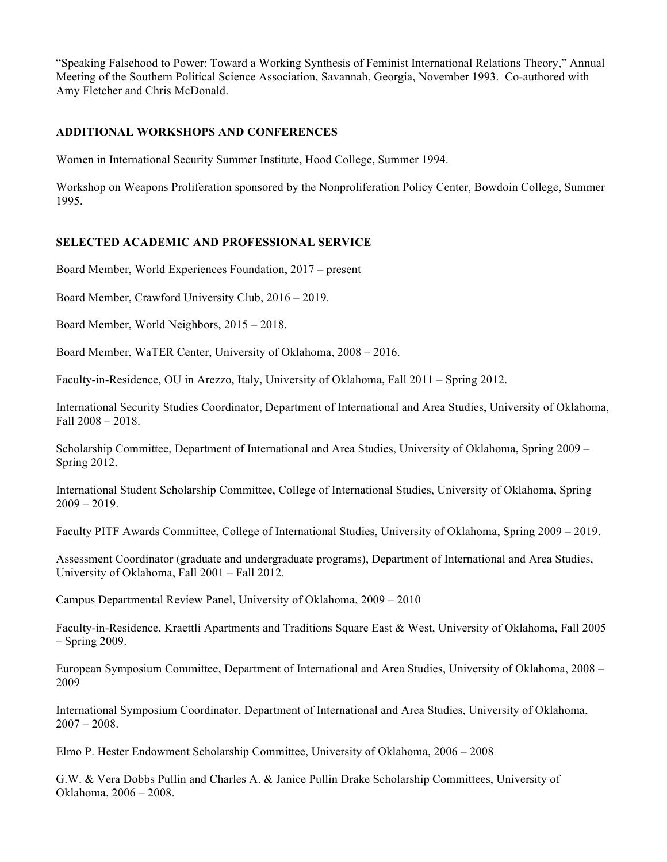"Speaking Falsehood to Power: Toward a Working Synthesis of Feminist International Relations Theory," Annual Meeting of the Southern Political Science Association, Savannah, Georgia, November 1993. Co-authored with Amy Fletcher and Chris McDonald.

# **ADDITIONAL WORKSHOPS AND CONFERENCES**

Women in International Security Summer Institute, Hood College, Summer 1994.

Workshop on Weapons Proliferation sponsored by the Nonproliferation Policy Center, Bowdoin College, Summer 1995.

# **SELECTED ACADEMIC AND PROFESSIONAL SERVICE**

Board Member, World Experiences Foundation, 2017 – present

Board Member, Crawford University Club, 2016 – 2019.

Board Member, World Neighbors, 2015 – 2018.

Board Member, WaTER Center, University of Oklahoma, 2008 – 2016.

Faculty-in-Residence, OU in Arezzo, Italy, University of Oklahoma, Fall 2011 – Spring 2012.

International Security Studies Coordinator, Department of International and Area Studies, University of Oklahoma, Fall 2008 – 2018.

Scholarship Committee, Department of International and Area Studies, University of Oklahoma, Spring 2009 – Spring 2012.

International Student Scholarship Committee, College of International Studies, University of Oklahoma, Spring  $2009 - 2019$ .

Faculty PITF Awards Committee, College of International Studies, University of Oklahoma, Spring 2009 – 2019.

Assessment Coordinator (graduate and undergraduate programs), Department of International and Area Studies, University of Oklahoma, Fall 2001 – Fall 2012.

Campus Departmental Review Panel, University of Oklahoma, 2009 – 2010

Faculty-in-Residence, Kraettli Apartments and Traditions Square East & West, University of Oklahoma, Fall 2005 – Spring 2009.

European Symposium Committee, Department of International and Area Studies, University of Oklahoma, 2008 – 2009

International Symposium Coordinator, Department of International and Area Studies, University of Oklahoma,  $2007 - 2008$ .

Elmo P. Hester Endowment Scholarship Committee, University of Oklahoma, 2006 – 2008

G.W. & Vera Dobbs Pullin and Charles A. & Janice Pullin Drake Scholarship Committees, University of Oklahoma, 2006 – 2008.